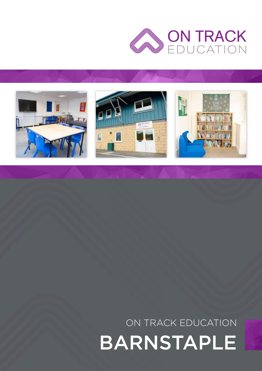



# ON TRACK EDUCATION BARNSTAPLE

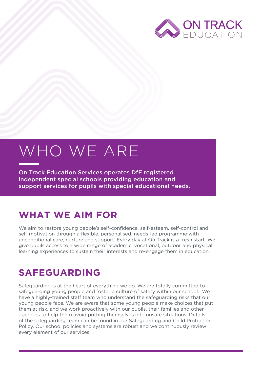

# WHO WE ARE

On Track Education Services operates DfE registered independent special schools providing education and support services for pupils with special educational needs.

#### **WHAT WE AIM FOR**

We aim to restore young people's self-confidence, self-esteem, self-control and self-motivation through a flexible, personalised, needs-led programme with unconditional care, nurture and support. Every day at On Track is a fresh start. We give pupils access to a wide range of academic, vocational, outdoor and physical learning experiences to sustain their interests and re-engage them in education.

### **SAFEGUARDING**

Safeguarding is at the heart of everything we do. We are totally committed to safeguarding young people and foster a culture of safety within our school. We have a highly-trained staff team who understand the safeguarding risks that our young people face. We are aware that some young people make choices that put them at risk, and we work proactively with our pupils, their families and other agencies to help them avoid putting themselves into unsafe situations. Details of the safeguarding team can be found in our Safeguarding and Child Protection Policy. Our school policies and systems are robust and we continuously review every element of our services.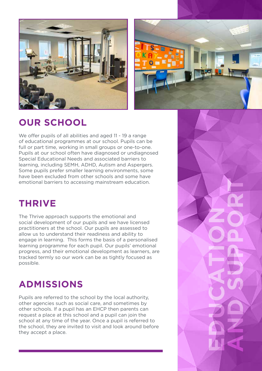



**EDUCATION** 

**AND SUPPORT**

### **OUR SCHOOL**

We offer pupils of all abilities and aged 11 - 19 a range of educational programmes at our school. Pupils can be full or part time, working in small groups or one-to-one. Pupils at our school often have diagnosed or undiagnosed Special Educational Needs and associated barriers to learning, including SEMH, ADHD, Autism and Aspergers. Some pupils prefer smaller learning environments, some have been excluded from other schools and some have emotional barriers to accessing mainstream education.

#### **THRIVE**

The Thrive approach supports the emotional and social development of our pupils and we have licensed practitioners at the school. Our pupils are assessed to allow us to understand their readiness and ability to engage in learning. This forms the basis of a personalised learning programme for each pupil. Our pupils' emotional progress, and their emotional development as learners, are tracked termly so our work can be as tightly focused as possible.

# **ADMISSIONS**

Pupils are referred to the school by the local authority, other agencies such as social care, and sometimes by other schools. If a pupil has an EHCP then parents can request a place at this school and a pupil can join the school at any time of the year. Once a pupil is referred to the school, they are invited to visit and look around before they accept a place.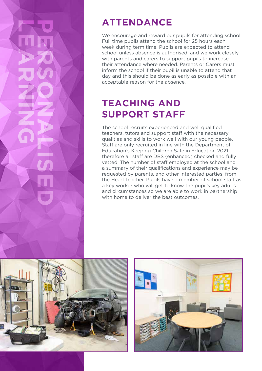#### **ATTENDANCE**

We encourage and reward our pupils for attending school. Full time pupils attend the school for 25 hours each week during term time. Pupils are expected to attend school unless absence is authorised, and we work closely with parents and carers to support pupils to increase their attendance where needed. Parents or Carers must inform the school if their pupil is unable to attend that day and this should be done as early as possible with an acceptable reason for the absence.

#### **TEACHING AND SUPPORT STAFF**

The school recruits experienced and well qualified teachers, tutors and support staff with the necessary qualities and skills to work well with our young people. Staff are only recruited in line with the Department of Education's Keeping Children Safe in Education 2021 therefore all staff are DBS (enhanced) checked and fully vetted. The number of staff employed at the school and a summary of their qualifications and experience may be requested by parents, and other interested parties, from the Head Teacher. Pupils have a member of school staff as a key worker who will get to know the pupil's key adults and circumstances so we are able to work in partnership with home to deliver the best outcomes.



**LEARNING**

**PERSONALISED** 

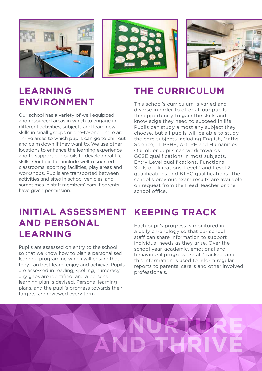





#### **LEARNING ENVIRONMENT**

Our school has a variety of well equipped and resourced areas in which to engage in different activities, subjects and learn new skills in small groups or one-to-one. There are Thrive areas to which pupils can go to chill out and calm down if they want to. We use other locations to enhance the learning experience and to support our pupils to develop real-life skills. Our facilities include well-resourced classrooms, sporting facilities, play areas and workshops. Pupils are transported between activities and sites in school vehicles, and sometimes in staff members' cars if parents have given permission.

#### **INITIAL ASSESSMENT AND PERSONAL LEARNING**

Pupils are assessed on entry to the school so that we know how to plan a personalised learning programme which will ensure that they can best learn, enjoy and achieve. Pupils are assessed in reading, spelling, numeracy, any gaps are identified, and a personal learning plan is devised. Personal learning plans, and the pupil's progress towards their targets, are reviewed every term.

# **THE CURRICULUM**

This school's curriculum is varied and diverse in order to offer all our pupils the opportunity to gain the skills and knowledge they need to succeed in life. Pupils can study almost any subject they choose, but all pupils will be able to study the core subjects including English, Maths, Science, IT, PSHE, Art, PE and Humanities. Our older pupils can work towards GCSE qualifications in most subjects, Entry Level qualifications, Functional Skills qualifications, Level 1 and Level 2 qualifications and BTEC qualifications. The school's previous exam results are available on request from the Head Teacher or the school office.

# **KEEPING TRACK**

Each pupil's progress is monitored in a daily chronology so that our school staff can share information to support individual needs as they arise. Over the school year, academic, emotional and behavioural progress are all 'tracked' and this information is used to inform regular reports to parents, carers and other involved professionals.

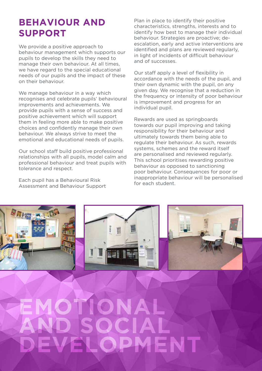#### **BEHAVIOUR AND SUPPORT**

We provide a positive approach to behaviour management which supports our pupils to develop the skills they need to manage their own behaviour. At all times, we have regard to the special educational needs of our pupils and the impact of these on their behaviour.

We manage behaviour in a way which recognises and celebrate pupils' behavioural improvements and achievements. We provide pupils with a sense of success and positive achievement which will support them in feeling more able to make positive choices and confidently manage their own behaviour. We always strive to meet the emotional and educational needs of pupils.

Our school staff build positive professional relationships with all pupils, model calm and professional behaviour and treat pupils with tolerance and respect.

Each pupil has a Behavioural Risk Assessment and Behaviour Support

Plan in place to identify their positive characteristics, strengths, interests and to identify how best to manage their individual behaviour. Strategies are proactive; deescalation, early and active interventions are identified and plans are reviewed regularly, in light of incidents of difficult behaviour and of successes.

Our staff apply a level of flexibility in accordance with the needs of the pupil, and their own dynamic with the pupil, on any given day. We recognise that a reduction in the frequency or intensity of poor behaviour is improvement and progress for an individual pupil.

Rewards are used as springboards towards our pupil improving and taking responsibility for their behaviour and ultimately towards them being able to regulate their behaviour. As such, rewards systems, schemes and the reward itself are personalised and reviewed regularly. This school prioritises rewarding positive behaviour as opposed to sanctioning poor behaviour. Consequences for poor or inappropriate behaviour will be personalised for each student.



**EMAL** 

**OCIAL** 

**EVELOPMENT** 

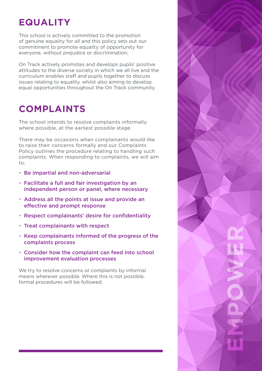# **EQUALITY**

This school is actively committed to the promotion of genuine equality for all and this policy sets out our commitment to promote equality of opportunity for everyone, without prejudice or discrimination.

On Track actively promotes and develops pupils' positive attitudes to the diverse society in which we all live and the curriculum enables staff and pupils together to discuss issues relating to equality, whilst also aiming to develop equal opportunities throughout the On Track community.

# **COMPLAINTS**

The school intends to resolve complaints informally where possible, at the earliest possible stage.

There may be occasions when complainants would like to raise their concerns formally and our Complaints Policy outlines the procedure relating to handling such complaints. When responding to complaints, we will aim to:

- Be impartial and non-adversarial
- Facilitate a full and fair investigation by an independent person or panel, where necessary
- Address all the points at issue and provide an effective and prompt response
- Respect complainants' desire for confidentiality
- Treat complainants with respect
- Keep complainants informed of the progress of the complaints process
- Consider how the complaint can feed into school improvement evaluation processes

We try to resolve concerns or complaints by informal means wherever possible. Where this is not possible, formal procedures will be followed.

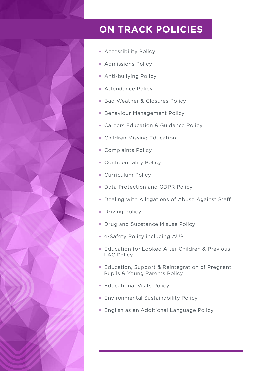

#### **ON TRACK POLICIES**

- **Accessibility Policy**
- **Admissions Policy**
- **Anti-bullying Policy**
- **Attendance Policy**
- Bad Weather & Closures Policy
- **Behaviour Management Policy**
- Careers Education & Guidance Policy
- **Children Missing Education**
- Complaints Policy
- **Confidentiality Policy**
- Curriculum Policy
- Data Protection and GDPR Policy
- Dealing with Allegations of Abuse Against Staff
- **Driving Policy**
- Drug and Substance Misuse Policy
- **e-Safety Policy including AUP**
- **Education for Looked After Children & Previous** LAC Policy
- Education, Support & Reintegration of Pregnant Pupils & Young Parents Policy
- **Educational Visits Policy**
- **Environmental Sustainability Policy**
- **English as an Additional Language Policy**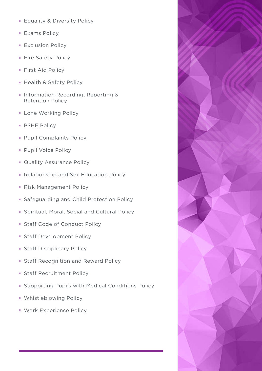- **Equality & Diversity Policy**
- **Exams Policy**
- **Exclusion Policy**
- Fire Safety Policy
- **First Aid Policy**
- **Health & Safety Policy**
- **Information Recording, Reporting &** Retention Policy
- **Lone Working Policy**
- **PSHE Policy**
- **Pupil Complaints Policy**
- **Pupil Voice Policy**
- **Quality Assurance Policy**
- Relationship and Sex Education Policy
- Risk Management Policy
- Safeguarding and Child Protection Policy
- **Spiritual, Moral, Social and Cultural Policy**
- **Staff Code of Conduct Policy**
- **Staff Development Policy**
- **Staff Disciplinary Policy**
- **Staff Recognition and Reward Policy**
- **Staff Recruitment Policy**
- **Supporting Pupils with Medical Conditions Policy**
- Whistleblowing Policy
- **Work Experience Policy**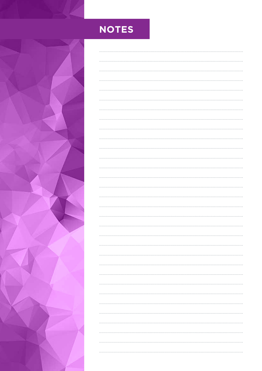

# **NOTES**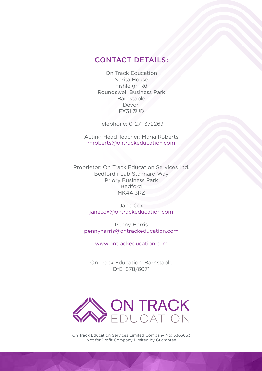#### CONTACT DETAILS:

On Track Education Narita House Fishleigh Rd Roundswell Business Park Barnstaple Devon EX31 3UD

Telephone: 01271 372269

Acting Head Teacher: Maria Roberts mroberts@ontrackeducation.com

Proprietor: On Track Education Services Ltd. Bedford i-Lab Stannard Way Priory Business Park Bedford MK44 3RZ

> Jane Cox janecox@ontrackeducation.com

Penny Harris pennyharris@ontrackeducation.com

www.ontrackeducation.com

On Track Education, Barnstaple DfE: 878/6071



On Track Education Services Limited Company No: 5363653 Not for Profit Company Limited by Guarantee